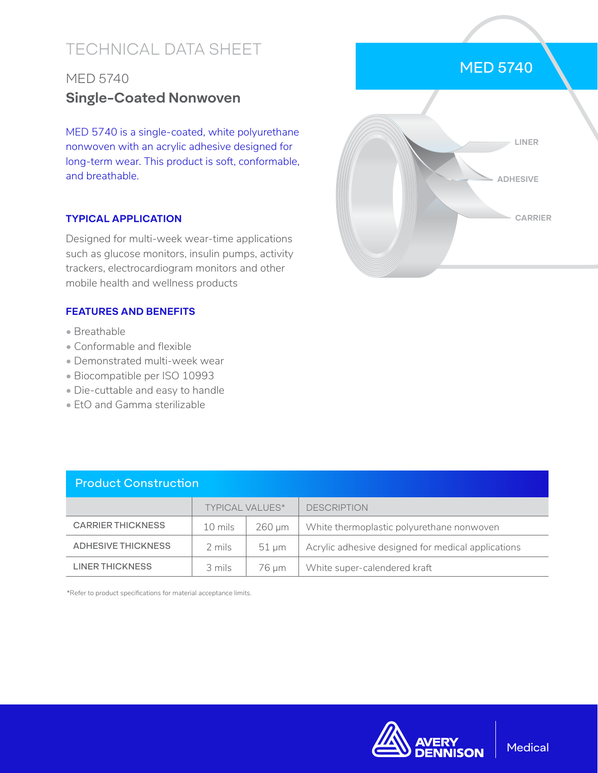# TECHNICAL DATA SHEET

## MED 5740 **Single-Coated Nonwoven**

MED 5740 is a single-coated, white polyurethane nonwoven with an acrylic adhesive designed for long-term wear. This product is soft, conformable, and breathable.

### **TYPICAL APPLICATION**

Designed for multi-week wear-time applications such as glucose monitors, insulin pumps, activity trackers, electrocardiogram monitors and other mobile health and wellness products

### **FEATURES AND BENEFITS**

- Breathable
- Conformable and flexible
- Demonstrated multi-week wear
- Biocompatible per ISO 10993
- Die-cuttable and easy to handle
- EtO and Gamma sterilizable

| <b>Product Construction</b> |                        |             |                                                    |  |  |
|-----------------------------|------------------------|-------------|----------------------------------------------------|--|--|
|                             | <b>TYPICAL VALUES*</b> |             | <b>DESCRIPTION</b>                                 |  |  |
| <b>CARRIER THICKNESS</b>    | 10 mils                | $260 \mu m$ | White thermoplastic polyurethane nonwoven          |  |  |
| <b>ADHESIVE THICKNESS</b>   | 2 mils                 | $51 \mu m$  | Acrylic adhesive designed for medical applications |  |  |
| <b>LINER THICKNESS</b>      | 3 mils                 | 76 µm       | White super-calendered kraft                       |  |  |

\*Refer to product specifications for material acceptance limits.